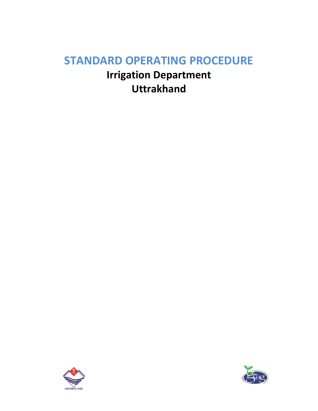# **STANDARD OPERATING PROCEDURE**

**Irrigation Department Uttrakhand**



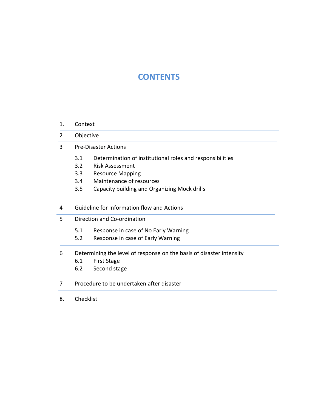## **CONTENTS**

#### 1. Context

- 2 Objective
- 3 Pre-Disaster Actions
	- 3.1 Determination of institutional roles and responsibilities
	- 3.2 Risk Assessment
	- 3.3 Resource Mapping
	- 3.4 Maintenance of resources
	- 3.5 Capacity building and Organizing Mock drills
- 4 Guideline for Information flow and Actions
- 5 Direction and Co-ordination
	- 5.1 Response in case of No Early Warning
	- 5.2 Response in case of Early Warning

#### 6 Determining the level of response on the basis of disaster intensity

- 6.1 First Stage
- 6.2 Second stage

## 7 Procedure to be undertaken after disaster

8. Checklist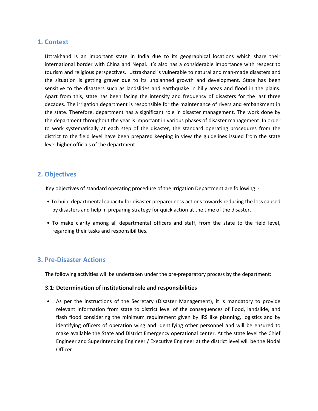## **1. Context**

Uttrakhand is an important state in India due to its geographical locations which share their international border with China and Nepal. It's also has a considerable importance with respect to tourism and religious perspectives. Uttrakhand is vulnerable to natural and man-made disasters and the situation is getting graver due to its unplanned growth and development. State has been sensitive to the disasters such as landslides and earthquake in hilly areas and flood in the plains. Apart from this, state has been facing the intensity and frequency of disasters for the last three decades. The irrigation department is responsible for the maintenance of rivers and embankment in the state. Therefore, department has a significant role in disaster management. The work done by the department throughout the year is important in various phases of disaster management. In order to work systematically at each step of the disaster, the standard operating procedures from the district to the field level have been prepared keeping in view the guidelines issued from the state level higher officials of the department.

## **2. Objectives**

Key objectives of standard operating procedure of the Irrigation Department are following -

- To build departmental capacity for disaster preparedness actions towards reducing the loss caused by disasters and help in preparing strategy for quick action at the time of the disaster.
- To make clarity among all departmental officers and staff, from the state to the field level, regarding their tasks and responsibilities.

## **3. Pre-Disaster Actions**

The following activities will be undertaken under the pre-preparatory process by the department:

#### **3.1: Determination of institutional role and responsibilities**

• As per the instructions of the Secretary (Disaster Management), it is mandatory to provide relevant information from state to district level of the consequences of flood, landslide, and flash flood considering the minimum requirement given by IRS like planning, logistics and by identifying officers of operation wing and identifying other personnel and will be ensured to make available the State and District Emergency operational center. At the state level the Chief Engineer and Superintending Engineer / Executive Engineer at the district level will be the Nodal Officer.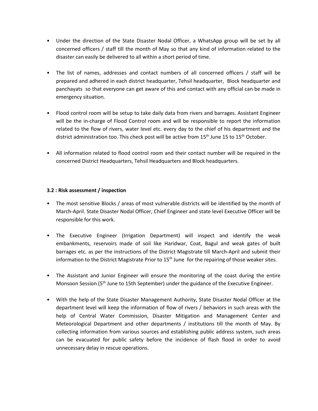- Under the direction of the State Disaster Nodal Officer, a WhatsApp group will be set by all concerned officers / staff till the month of May so that any kind of information related to the disaster can easily be delivered to all within a short period of time.
- The list of names, addresses and contact numbers of all concerned officers / staff will be prepared and adhered in each district headquarter, Tehsil headquarter, Block headquarter and panchayats so that everyone can get aware of this and contact with any official can be made in emergency situation.
- Flood control room will be setup to take daily data from rivers and barrages. Assistant Engineer will be the in-charge of Flood Control room and will be responsible to report the information related to the flow of rivers, water level etc. every day to the chief of his department and the district administration too. This check post will be active from 15<sup>th</sup> June 15 to 15<sup>th</sup> October.
- All information related to flood control room and their contact number will be required in the concerned District Headquarters, Tehsil Headquarters and Block headquarters.

#### **3.2 : Risk assessment / inspection**

- The most sensitive Blocks / areas of most vulnerable districts will be identified by the month of March-April. State Disaster Nodal Officer, Chief Engineer and state level Executive Officer will be responsible for this work.
- The Executive Engineer (Irrigation Department) will inspect and identify the weak embankments, reservoirs made of soil like Haridwar, Coat, Bagul and weak gates of built barrages etc. as per the instructions of the District Magistrate till March-April and submit their information to the District Magistrate Prior to 15<sup>th</sup> June for the repairing of those weaker sites.
- The Assistant and Junior Engineer will ensure the monitoring of the coast during the entire Monsoon Session (5<sup>th</sup> June to 15th September) under the guidance of the Executive Engineer.
- With the help of the State Disaster Management Authority, State Disaster Nodal Officer at the department level will keep the information of flow of rivers / behaviors in such areas with the help of Central Water Commission, Disaster Mitigation and Management Center and Meteorological Department and other departments / institutions till the month of May. By collecting information from various sources and establishing public address system, such areas can be evacuated for public safety before the incidence of flash flood in order to avoid unnecessary delay in rescue operations.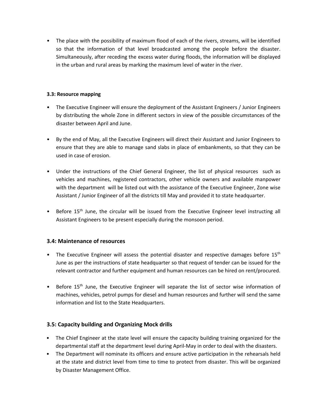• The place with the possibility of maximum flood of each of the rivers, streams, will be identified so that the information of that level broadcasted among the people before the disaster. Simultaneously, after receding the excess water during floods, the information will be displayed in the urban and rural areas by marking the maximum level of water in the river.

#### **3.3: Resource mapping**

- The Executive Engineer will ensure the deployment of the Assistant Engineers / Junior Engineers by distributing the whole Zone in different sectors in view of the possible circumstances of the disaster between April and June.
- By the end of May, all the Executive Engineers will direct their Assistant and Junior Engineers to ensure that they are able to manage sand slabs in place of embankments, so that they can be used in case of erosion.
- Under the instructions of the Chief General Engineer, the list of physical resources such as vehicles and machines, registered contractors, other vehicle owners and available manpower with the department will be listed out with the assistance of the Executive Engineer, Zone wise Assistant / Junior Engineer of all the districts till May and provided it to state headquarter.
- Before 15<sup>th</sup> June, the circular will be issued from the Executive Engineer level instructing all Assistant Engineers to be present especially during the monsoon period.

## **3.4: Maintenance of resources**

- The Executive Engineer will assess the potential disaster and respective damages before  $15<sup>th</sup>$ June as per the instructions of state headquarter so that request of tender can be issued for the relevant contractor and further equipment and human resources can be hired on rent/procured.
- Before 15<sup>th</sup> June, the Executive Engineer will separate the list of sector wise information of machines, vehicles, petrol pumps for diesel and human resources and further will send the same information and list to the State Headquarters.

## **3.5: Capacity building and Organizing Mock drills**

- The Chief Engineer at the state level will ensure the capacity building training organized for the departmental staff at the department level during April-May in order to deal with the disasters.
- The Department will nominate its officers and ensure active participation in the rehearsals held at the state and district level from time to time to protect from disaster. This will be organized by Disaster Management Office.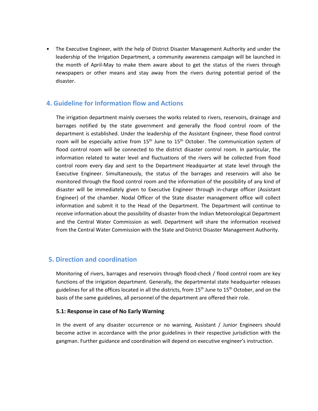• The Executive Engineer, with the help of District Disaster Management Authority and under the leadership of the Irrigation Department, a community awareness campaign will be launched in the month of April-May to make them aware about to get the status of the rivers through newspapers or other means and stay away from the rivers during potential period of the disaster.

## **4. Guideline for Information flow and Actions**

The irrigation department mainly oversees the works related to rivers, reservoirs, drainage and barrages notified by the state government and generally the flood control room of the department is established. Under the leadership of the Assistant Engineer, these flood control room will be especially active from  $15<sup>th</sup>$  June to  $15<sup>th</sup>$  October. The communication system of flood control room will be connected to the district disaster control room. In particular, the information related to water level and fluctuations of the rivers will be collected from flood control room every day and sent to the Department Headquarter at state level through the Executive Engineer. Simultaneously, the status of the barrages and reservoirs will also be monitored through the flood control room and the information of the possibility of any kind of disaster will be immediately given to Executive Engineer through in-charge officer (Assistant Engineer) of the chamber. Nodal Officer of the State disaster management office will collect information and submit it to the Head of the Department. The Department will continue to receive information about the possibility of disaster from the Indian Meteorological Department and the Central Water Commission as well. Department will share the information received from the Central Water Commission with the State and District Disaster Management Authority.

## **5. Direction and coordination**

Monitoring of rivers, barrages and reservoirs through flood-check / flood control room are key functions of the irrigation department. Generally, the departmental state headquarter releases guidelines for all the offices located in all the districts, from 15<sup>th</sup> June to 15<sup>th</sup> October, and on the basis of the same guidelines, all personnel of the department are offered their role.

#### **5.1: Response in case of No Early Warning**

In the event of any disaster occurrence or no warning, Assistant / Junior Engineers should become active in accordance with the prior guidelines in their respective jurisdiction with the gangman. Further guidance and coordination will depend on executive engineer's instruction.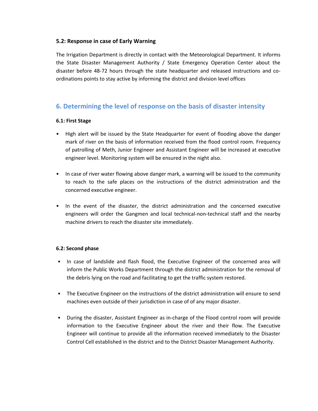## **5.2: Response in case of Early Warning**

The Irrigation Department is directly in contact with the Meteorological Department. It informs the State Disaster Management Authority / State Emergency Operation Center about the disaster before 48-72 hours through the state headquarter and released instructions and coordinations points to stay active by informing the district and division level offices

## **6. Determining the level of response on the basis of disaster intensity**

#### **6.1: First Stage**

- High alert will be issued by the State Headquarter for event of flooding above the danger mark of river on the basis of information received from the flood control room. Frequency of patrolling of Meth, Junior Engineer and Assistant Engineer will be increased at executive engineer level. Monitoring system will be ensured in the night also.
- In case of river water flowing above danger mark, a warning will be issued to the community to reach to the safe places on the instructions of the district administration and the concerned executive engineer.
- In the event of the disaster, the district administration and the concerned executive engineers will order the Gangmen and local technical-non-technical staff and the nearby machine drivers to reach the disaster site immediately.

#### **6.2: Second phase**

- In case of landslide and flash flood, the Executive Engineer of the concerned area will inform the Public Works Department through the district administration for the removal of the debris lying on the road and facilitating to get the traffic system restored.
- The Executive Engineer on the instructions of the district administration will ensure to send machines even outside of their jurisdiction in case of of any major disaster.
- During the disaster, Assistant Engineer as in-charge of the Flood control room will provide information to the Executive Engineer about the river and their flow. The Executive Engineer will continue to provide all the information received immediately to the Disaster Control Cell established in the district and to the District Disaster Management Authority.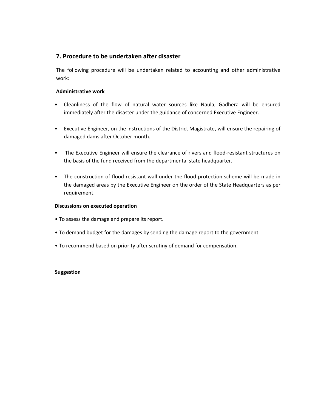## **7. Procedure to be undertaken after disaster**

The following procedure will be undertaken related to accounting and other administrative work:

#### **Administrative work**

- Cleanliness of the flow of natural water sources like Naula, Gadhera will be ensured immediately after the disaster under the guidance of concerned Executive Engineer.
- Executive Engineer, on the instructions of the District Magistrate, will ensure the repairing of damaged dams after October month.
- The Executive Engineer will ensure the clearance of rivers and flood-resistant structures on the basis of the fund received from the departmental state headquarter.
- The construction of flood-resistant wall under the flood protection scheme will be made in the damaged areas by the Executive Engineer on the order of the State Headquarters as per requirement.

#### **Discussions on executed operation**

- To assess the damage and prepare its report.
- To demand budget for the damages by sending the damage report to the government.
- To recommend based on priority after scrutiny of demand for compensation.

#### **Suggestion**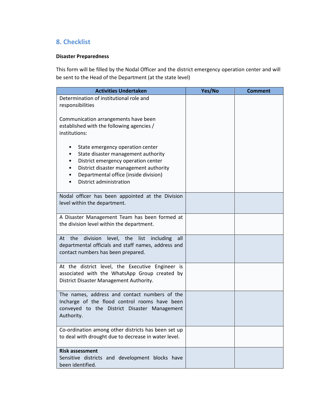## **8. Checklist**

## **Disaster Preparedness**

This form will be filled by the Nodal Officer and the district emergency operation center and will be sent to the Head of the Department (at the state level)

| <b>Activities Undertaken</b>                                                                                                                                                                                                 | Yes/No | <b>Comment</b> |
|------------------------------------------------------------------------------------------------------------------------------------------------------------------------------------------------------------------------------|--------|----------------|
| Determination of institutional role and<br>responsibilities                                                                                                                                                                  |        |                |
| Communication arrangements have been<br>established with the following agencies /<br>institutions:                                                                                                                           |        |                |
| State emergency operation center<br>State disaster management authority<br>District emergency operation center<br>District disaster management authority<br>Departmental office (inside division)<br>District administration |        |                |
| Nodal officer has been appointed at the Division<br>level within the department.                                                                                                                                             |        |                |
| A Disaster Management Team has been formed at<br>the division level within the department.                                                                                                                                   |        |                |
| division<br>At the<br>level, the<br>list<br>including<br>all<br>departmental officials and staff names, address and<br>contact numbers has been prepared.                                                                    |        |                |
| At the district level, the Executive Engineer is<br>associated with the WhatsApp Group created by<br>District Disaster Management Authority.                                                                                 |        |                |
| The names, address and contact numbers of the<br>Incharge of the flood control rooms have been<br>conveyed to the District Disaster Management<br>Authority.                                                                 |        |                |
| Co-ordination among other districts has been set up<br>to deal with drought due to decrease in water level.                                                                                                                  |        |                |
| <b>Risk assessment</b><br>Sensitive districts and development blocks have<br>been identified.                                                                                                                                |        |                |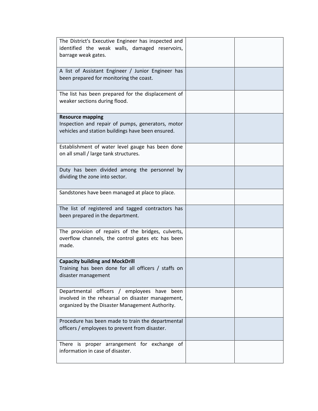| The District's Executive Engineer has inspected and<br>identified the weak walls, damaged reservoirs,<br>barrage weak gates.                        |  |
|-----------------------------------------------------------------------------------------------------------------------------------------------------|--|
| A list of Assistant Engineer / Junior Engineer has<br>been prepared for monitoring the coast.                                                       |  |
| The list has been prepared for the displacement of<br>weaker sections during flood.                                                                 |  |
| <b>Resource mapping</b><br>Inspection and repair of pumps, generators, motor<br>vehicles and station buildings have been ensured.                   |  |
| Establishment of water level gauge has been done<br>on all small / large tank structures.                                                           |  |
| Duty has been divided among the personnel by<br>dividing the zone into sector.                                                                      |  |
| Sandstones have been managed at place to place.                                                                                                     |  |
| The list of registered and tagged contractors has<br>been prepared in the department.                                                               |  |
| The provision of repairs of the bridges, culverts,<br>overflow channels, the control gates etc has been<br>made.                                    |  |
| <b>Capacity building and MockDrill</b><br>Training has been done for all officers / staffs on<br>disaster management                                |  |
| Departmental officers / employees have been<br>involved in the rehearsal on disaster management,<br>organized by the Disaster Management Authority. |  |
| Procedure has been made to train the departmental<br>officers / employees to prevent from disaster.                                                 |  |
| There is proper arrangement for exchange of<br>information in case of disaster.                                                                     |  |